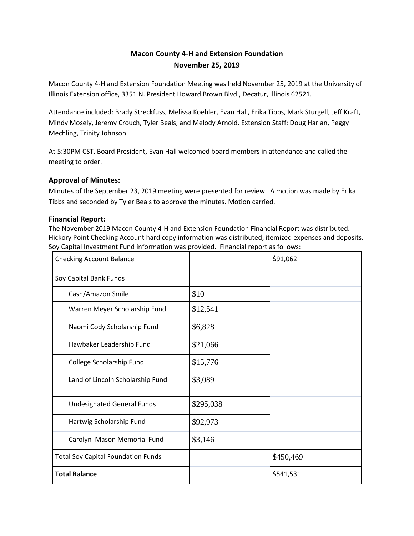# **Macon County 4-H and Extension Foundation November 25, 2019**

Macon County 4-H and Extension Foundation Meeting was held November 25, 2019 at the University of Illinois Extension office, 3351 N. President Howard Brown Blvd., Decatur, Illinois 62521.

Attendance included: Brady Streckfuss, Melissa Koehler, Evan Hall, Erika Tibbs, Mark Sturgell, Jeff Kraft, Mindy Mosely, Jeremy Crouch, Tyler Beals, and Melody Arnold. Extension Staff: Doug Harlan, Peggy Mechling, Trinity Johnson

At 5:30PM CST, Board President, Evan Hall welcomed board members in attendance and called the meeting to order.

## **Approval of Minutes:**

Minutes of the September 23, 2019 meeting were presented for review. A motion was made by Erika Tibbs and seconded by Tyler Beals to approve the minutes. Motion carried.

#### **Financial Report:**

The November 2019 Macon County 4-H and Extension Foundation Financial Report was distributed. Hickory Point Checking Account hard copy information was distributed; itemized expenses and deposits. Soy Capital Investment Fund information was provided. Financial report as follows:

| <b>Checking Account Balance</b>           |           | \$91,062  |
|-------------------------------------------|-----------|-----------|
| Soy Capital Bank Funds                    |           |           |
| Cash/Amazon Smile                         | \$10      |           |
| Warren Meyer Scholarship Fund             | \$12,541  |           |
| Naomi Cody Scholarship Fund               | \$6,828   |           |
| Hawbaker Leadership Fund                  | \$21,066  |           |
| College Scholarship Fund                  | \$15,776  |           |
| Land of Lincoln Scholarship Fund          | \$3,089   |           |
| <b>Undesignated General Funds</b>         | \$295,038 |           |
| Hartwig Scholarship Fund                  | \$92,973  |           |
| Carolyn Mason Memorial Fund               | \$3,146   |           |
| <b>Total Soy Capital Foundation Funds</b> |           | \$450,469 |
| <b>Total Balance</b>                      |           | \$541,531 |